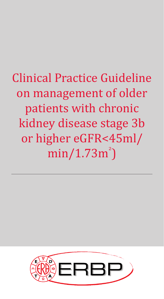# Clinical Practice Guideline on management of older patients with chronic kidney disease stage 3b or higher eGFR<45ml/ min/1.73m² )

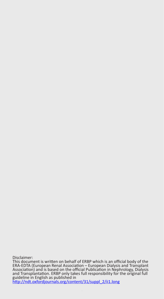Disclaimer:

This document is written on behalf of ERBP which is an official body of the ERA-EDTA (European Renal Association – European Dialysis and Transplant Association) and is based on the official Publication in Nephrology, Dialysis and Transplantation. ERBP only takes full responsibility for the original full guideline in English as published in http://ndt.oxfordjournals.org/content/31/suppl\_2/ii1.long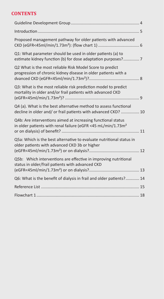# **CONTENTS**

| Proposed management pathway for older patients with advanced                                                                             |  |
|------------------------------------------------------------------------------------------------------------------------------------------|--|
| Q1: What parameter should be used in older patients (a) to<br>estimate kidney function (b) for dose adaptation purposes? 7               |  |
| Q2 What is the most reliable Risk Model Score to predict<br>progression of chronic kidney disease in older patients with a               |  |
| Q3: What is the most reliable risk prediction model to predict<br>mortality in older and/or frail patients with advanced CKD             |  |
| Q4 (a). What is the best alternative method to assess functional<br>decline in older and/ or frail patients with advanced CKD?  10       |  |
| Q4b: Are interventions aimed at increasing functional status<br>in older patients with renal failure (eGFR <45 mL/min/1.73m <sup>2</sup> |  |
| Q5a: Which is the best alternative to evaluate nutritional status in<br>older patients with advanced CKD 3b or higher                    |  |
| Q5b: Which interventions are effective in improving nutritional<br>status in older/frail patients with advanced CKD                      |  |
| Q6: What is the benefit of dialysis in frail and older patients? 14                                                                      |  |
|                                                                                                                                          |  |
|                                                                                                                                          |  |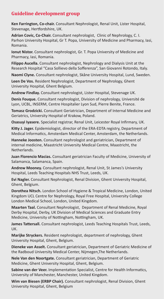## **Guideline development group**

**Ken Farrington, Co-chair.** Consultant Nephrologist, Renal Unit, Lister Hospital, Stevenage, Hertfordshire, UK.

**Adrian Covic, Co-Chair.** Consultant nephrologist, Clinic of Nephrology, C. I. Parhon University Hospital, Gr T. Popa, University of Medicine and Pharmacy, Iasi, Romania.

**Ionut Nistor.** Consultant nephrologist, Gr. T. Popa University of Medicine and Pharmacy, Iasi, Romania.

**Filippo Aucella.** Consultant nephrologist, Nephrology and Dialysis Unit at the Research Hospital "Casa Sollievo della Sofferenza", San Giovanni Rotondo, Italy.

**Naomi Clyne.** Consultant nephrologist, Skåne University Hospital, Lund, Sweden.

**Leen De Vos.** Resident Nephrologist, Department of Nephrology, Ghent University Hospital, Ghent Belgium.

**Andrew Findlay.** Consultant nephrologist, Lister Hospital, Stevenage UK.

**Denis Fouque.** Consultant nephrologist, Division of nephrology, Université de Lyon, UCBL, INSERM, Centre Hospitalier Lyon Sud, Pierre Benite, France.

**Tomasz Grodzicki.** Consultant Geriatrician, Department of Internal Medicine and Geriatrics, University Hospital of Krakow, Poland.

**Osasuyi Iyasere.** Specialist registrar, Renal Unit, Leicester Royal Infirmary, UK.

**Kitty J. Jager.** Epidemiologist, director of the ERA-EDTA registry, Department of Medical Informatics, Amsterdam Medical Center, Amsterdam, the Netherlands.

**Hanneke Joosten.** Consultant nephrologist and geriatrician, Department of internal medicine, Maastricht University Medical Centre, Maastricht, the Netherlands.

**Juan Florencio Macias.** Consultant geriatrician Faculty of Medicine, University of Salamanca, Salamanca, Spain.

**Andrew Mooney.** Consultant nephrologist, Renal Unit, St James's University Hospital, Leeds Teaching Hospitals NHS Trust, Leeds, UK.

**Evi Nagler.** Consultant Nephrologist, Renal Division, Ghent University Hospital, Ghent, Belgium.

**Dorothea Nitsch.** London School of Hygiene & Tropical Medicine, London, United Kingdom UCL Centre for Nephrology, Royal Free Hospital, University College London Medical School, London, United Kingdom.

**Maarten Taal.** Consultant Nephrologist, Department of Renal Medicine, Royal Derby Hospital, Derby, UK Division of Medical Sciences and Graduate Entry Medicine, University of Nottingham, Nottingham, UK.

**James Tattersall.** Consultant nephrologist, Leeds Teaching Hospitals Trust, Leeds, UK.

**Marijke Stryckers.** Resident nephrologist, department of nephrology, Ghent University Hospital, Ghent, Belgium.

**Dieneke van Asselt.** Consultant geriatrician, Department of Geriatric Medicine of the Radboud University Medical Center, Nijmegen,The Netherlands.

**Nele Van den Noortgate.** Consultant geriatrician, Department of Geriatric Medicine, Ghent University Hospital, Ghent, Belgium.

**Sabine van der Veer.** Implementation Specialist, Centre for Health Informatics, University of Manchester, Manchester, United Kingdom.

**Wim van Biesen (ERBP Chair).** Consultant nephrologist, Renal Division, Ghent University Hospital, Ghent, Belgium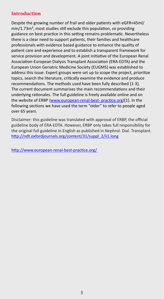### **Introduction**

Despite the growing number of frail and older patients with eGFR<45ml/ min/1.73m², most studies still exclude this population, so providing guidance on best practice in this setting remains problematic. Nevertheless there is a clear need to support patients, their families and healthcare professionals with evidence based guidance to enhance the quality of patient care and experience and to establish a transparent framework for service provision and development. A joint initiative of the European Renal Association-European Dialysis Transplant Association (ERA-EDTA) and the European Union Geriatric Medicine Society (EUGMS) was established to address this issue. Expert groups were set up to scope the project, prioritize topics, search the literature, critically examine the evidence and produce recommendations. The methods used have been fully described [1-3]. The current document summarises the main recommendations and their underlying rationales. The full guideline is freely available online and on the website of ERBP (www.european-renal-best- practice.org)[1]. In the following sections we have used the term "older" to refer to people aged over 65 years.

Disclaimer: this guideline was translated with approval of ERBP, the official guideline body of ERA-EDTA. However, ERBP only takes full responsibility for the original full guideline in English as published in Nephrol. Dial. Transplant. http://ndt.oxfordjournals.org/content/31/suppl\_2/ii1.long

http://www.european-renal-best-practice.org/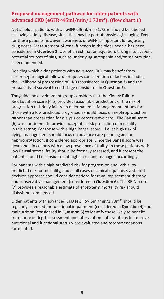## **Proposed management pathway for older patients with advanced CKD (eGFR<45ml/min/1.73m²): (flow chart 1)**

Not all older patients with an eGFR<45ml/min/1.73m<sup>2</sup> should be labelled as having kidney disease, since this may be part of physiological aging. Even for these patients however, awareness of eGFR is important for adjusting drug doses. Measurement of renal function in the older people has been considered in **Question 1**. Use of an estimation equation, taking into account potential sources of bias, such as underlying sarcopenia and/or malnutrition, is recommended.

Deciding which older patients with advanced CKD may benefit from closer nephrological follow-up requires consideration of factors including the likelihood of progression of CKD (considered in **Question 2**) and the probability of survival to end-stage (considered in **Question 3**).

The guideline development group considers that the Kidney Failure Risk Equation score [4;5] provides reasonable predictions of the risk of progression of kidney failure in older patients. Management options for those with a low predicted progression should focus on nephroprotection rather than preparation for dialysis or conservative care. The Bansal score [6] was considered to provide acceptable risk prediction of mortality in this setting. For those with a high Bansal score – i.e. at high risk of dying, management should focus on advance care planning and on nephroprotection, if considered appropriate. Since the Bansal score was developed in cohorts with a low prevalence of frailty, in those patients with low Bansal scores, frailty should be formally assessed, and if present the patient should be considered at higher risk and managed accordingly.

For patients with a high predicted risk for progression and with a low predicted risk for mortality, and in all cases of clinical equipoise, a shared decision approach should consider options for renal replacement therapy and conservative management (considered in **Question 6**). The REIN score [7] provides a reasonable estimate of short-term mortality risk should dialysis be commenced.

Older patients with advanced CKD (eGFR<45ml/min/1.73m²) should be regularly screened for functional impairment (considered in **Question 4**) and malnutrition (considered in **Question 5**) to identify those likely to benefit from more in depth assessment and intervention. Interventions to improve nutritional and functional status were evaluated and recommendations formulated.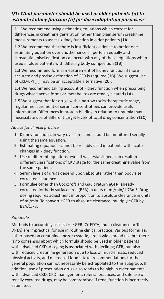# *Q1: What parameter should be used in older patients (a) to estimate kidney function (b) for dose adaptation purposes?*

1.1 We recommend using estimating equations which correct for differences in creatinine generation rather than plain serum creatinine measurements to assess kidney function in older patients (**1A**).

1.2 We recommend that there is insufficient evidence to prefer one estimating equation over another since all perform equally and substantial misclassification can occur with any of these equations when used in older patients with differing body composition (**1B**).

1.3 We recommend formal measurement of kidney function if more accurate and precise estimation of GFR is required (**1B**). We suggest use of CKD-EPICr-Cys may be an acceptable alternative (**2C**).

1.4 We recommend taking account of kidney function when prescribing drugs whose active forms or metabolites are renally cleared (**1A**).

1.5 We suggest that for drugs with a narrow toxic/therapeutic range, regular measurement of serum concentrations can provide useful information. Differences in protein binding in relation to uraemia may necessitate use of different target levels of total drug concentration (**2C**).

#### *Advice for clinical practice*

- 1. Kidney function can vary over time and should be monitored serially using the same equation.
- 2. Estimating equations cannot be reliably used in patients with acute changes in kidney function.
- 3. Use of different equations, even if well established, can result in different classifications of CKD stage for the same creatinine value from the same patient.
- 4. Serum levels of drugs depend upon absolute rather than body size corrected clearance.
- 5. Formulae other than Cockcroft and Gault return eGFR, already corrected for body surface area (BSA) in units of ml/min/1.73m². Drug dosing requires adjustment in proportion to absolute clearance in units of ml/min. To convert eGFR to absolute clearance, multiply eGFR by BSA/1.73.

#### *Rationale*

Methods to accurately assess true GFR (Cr-EDTA, Inulin clearance or Tc-DPTA) are impractical for use in routine clinical practice. Various formulae, either based on creatinine and/or cystatin, are in widespread use but there is no consensus about which formula should be used in older patients with advanced CKD. As aging is associated with declining GFR, but also with reduced creatinine generation due to loss of muscle mass, reduced physical activity, and decreased food intake, recommendations for the general population cannot necessarily be extrapolated to this subgroup. In addition, use of prescription drugs also tends to be high in older patients with advanced CKD. CKD management, referral practices, and safe use of renally excreted drugs, may be compromised if renal function is incorrectly estimated.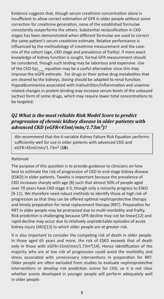Evidence suggests that, though serum creatinine concentration alone is insufficient to allow correct estimation of GFR in older people without some correction for creatinine generation, none of the established formulae consistently outperforms the others. Substantial reclassification in CKD stages has been demonstrated when different formulae are used to correct the same patient's serum creatinine estimate. Relative performance is influenced by the methodology of creatinine measurement and the casemix of the cohort (age, CKD stage and prevalence of frailty). If more exact knowledge of kidney function is sought, formal GFR measurement should be considered, though such testing may be laborious and expensive. Use of the CKD-Epi<sub>cr-cys</sub> equation may be a useful alternative since this may improve the eGFR estimate. For drugs or their active drug metabolites that are cleared by the kidneys, dosing should be adapted to renal function. Hypoalbuminemia associated with malnutrition/inflammation and uraemiarelated changes in protein binding may increase serum levels of the unbound (active) form of some drugs, which may require lower total concentrations to be targeted.

## *Q2 What is the most reliable Risk Model Score to predict progression of chronic kidney disease in older patients with advanced CKD (eGFR<45ml/min/1.73m²)?*

We recommend that the 4-variable Kidney Failure Risk Equation performs sufficiently well for use in older patients with advanced CKD and eGFR<45ml/min/1.73m² (**1B**).

#### *Rationale*

The purpose of this question is to provide guidance to clinicians on how best to estimate the risk of progression of CKD to end-stage kidney disease (ESKD) in older patients. Twwhis is important because the prevalence of CKD increases sharply with age [8] such that almost 50% of people aged over 70 years have CKD stage 3-5, though only a minority progress to ESKD [9-11]. We therefore need robust methods to identify those at high risk of progression so that they can be offered optimal nephroprotective therapy and timely preparation for renal replacement therapy (RRT). Preparation for RRT in older people may be protracted due to multi-morbidity and frailty. Risk prediction is challenging because GFR decline may not be linear[12] and rapid decline may occur due to relatively unpredictable episodes of acute kidney injury (AKI)[13] to which older people are at greater risk.

It is also important to consider the competing risk of death in older people. In those aged 65 years and more, the risk of ESKD exceeds that of death only in those with eGFR<15ml/min/1.73m²[14]. Hence identification of the majority who are at low risk of progression could avoid the morbidity and stress associated with unnecessary interventions in preparation for RRT. Older people are often excluded from studies to evaluate nephroprotective interventions or develop risk prediction scores for CKD, so it is not clear whether scores developed in younger people will perform adequately well in older people.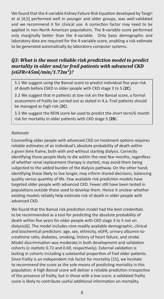We found that the 4-variable Kidney Failure Risk Equation developed by Tangri et al [4;5] performed well in younger and older groups, was well-validated and we recommend it for clinical use. A correction factor may need to be applied in non-North American populations. The 8-variable score performed only marginally better than the 4-variable. Only basic demographic and laboratory data are required for the 4-variable score, enabling a risk estimate to be generated automatically by laboratory computer systems.

## *Q3: What is the most reliable risk prediction model to predict mortality in older and/or frail patients with advanced CKD (eGFR<45ml/min/1.73m²)?*

3.1 We suggest using the Bansal score to predict individual five year risk of death before ESKD in older people with CKD stage 3 to 5 (**2C**).

3.2 We suggest that in patients at low risk on the Bansal score, a formal assessment of frailty be carried out as stated in 4.a. Frail patients should be managed as high risk (**2C**).

3.3 We suggest the REIN score be used to predict the short term/6 month risk for mortality in older patients with CKD stage 5 (**2B**).

#### *Rationale*

Counselling older people with advanced CKD on treatment options requires reliable estimates of an individual's absolute probability of death within a given time frame, both with and without starting dialysis. Correctly identifying those people likely to die within the next few months, regardless of whether renal replacement therapy is started, may avoid them being subjected to the added burden of the dialysis pathway. On the other hand, identifying those likely to live longer, may inform shared decisions, balancing quality versus quantity of life. Few available risk prediction models have targeted older people with advanced CKD. Fewer still have been tested in populations outside those used to develop them. Hence it unclear whether existing models reliably help estimate risk of death in older people with advanced CKD.

We found that the Bansal risk prediction model had the best credentials to be recommended as a tool for predicting the absolute probability of death within five years for older people with CKD stage 3 to 5 not on dialysis[6]. The model includes nine readily available demographic, clinical and biochemical predictors: age, sex, ethnicity, eGFR, urinary albumin-tocreatinine ratio, diabetes, smoking, history of heart failure, and stroke. Model discrimination was moderate in both development and validation cohorts (c-statistic 0.72 and 0.69, respectively). External validation is lacking in cohorts including a substantial proportion of frail older patients. Since frailty is an independent risk factor for mortality [15], we hesitate to recommend the score as the sole means of predicting mortality in this population. A high Bansal score will deliver a reliable prediction irrespective of the presence of frailty, but in those with a low score, a validated frailty score is likely to contribute useful additional information on mortality.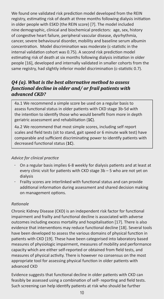We found one validated risk prediction model developed from the REIN registry, estimating risk of death at three months following dialysis initiation in older people with ESKD (the REIN score) [7]. The model included nine demographic, clinical and biochemical predictors: age, sex, history of congestive heart failure, peripheral vascular disease, dysrhythmia, cancer, severe behavioural disorder, mobility and baseline serum albumin concentration. Model discrimination was moderate (c-statistic in the internal validation cohort was 0.75). A second risk prediction model estimating risk of death at six months following dialysis initiation in older people [16], developed and internally validated in smaller cohorts from the same registry, had slightly inferior model discrimination (c-statistic 0.7).

# *Q4 (a). What is the best alternative method to assess functional decline in older and/ or frail patients with advanced CKD?*

4a.1 We recommend a simple score be used on a regular basis to assess functional status in older patients with CKD stage 3b-5d with the intention to identify those who would benefit from more in depth geriatric assessment and rehabilitation (**1C**).

4a.2 We recommend that most simple scores, including self report scales and field tests (sit to stand, gait speed or 6 minute walk test) have comparable and sufficient discriminating power to identify patients with decreased functional status (**1C**).

#### *Advice for clinical practice*

- On a regular basis implies 6-8 weekly for dialysis patients and at least at every clinic visit for patients with CKD stage 3b – 5 who are not yet on dialysis
- Frailty scores are interlinked with functional status and can provide additional information during assessment and shared decision making on management options.

#### *Rationale*

Chronic Kidney Disease (CKD) is an independent risk factor for functional impairment and frailty and functional decline is associated with adverse outcomes including excess mortality and hospitalisation [17]. There is also evidence that interventions may reduce functional decline [18]. Several tools have been developed to assess the various domains of physical function in patients with CKD [19]. These have been categorised into laboratory based measures of physiologic impairment, measures of mobility and performance capacity which are either self-reported or obtained from field tests, and measures of physical activity. There is however no consensus on the most appropriate tool for assessing physical function in older patients with advanced CKD

Evidence suggests that functional decline in older patients with CKD can feasibly be assessed using a combination of self- reporting and field tests. Such screening can help identify patients at risk who should be further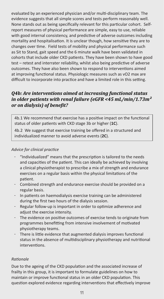evaluated by an experienced physician and/or multi-disciplinary team. The evidence suggests that all simple scores and tests perform reasonably well. None stands out as being specifically relevant for this particular cohort. Selfreport measures of physical performance are simple, easy to use, reliable with good internal consistency, and predictive of adverse outcomes including mortality and hospitalisation. It is unclear though, how sensitive they are to changes over time. Field tests of mobility and physical performance such as Sit to Stand, gait speed and the 6 minute walk have been validated in cohorts that include older CKD patients. They have been shown to have good test – retest and interrater reliability, whilst also being predictive of adverse outcomes. They have also been shown to respond to interventions aimed at improving functional status. Physiologic measures such as vO2 max are difficult to incorporate into practice and have a limited role in this setting.

## *Q4b: Are interventions aimed at increasing functional status in older patients with renal failure (eGFR <45 mL/min/1.73m² or on dialysis) of benefit?*

4b.1 We recommend that exercise has a positive impact on the functional status of older patients with CKD stage 3b or higher (**1C**).

4b.2 We suggest that exercise training be offered in a structured and individualized manner to avoid adverse events (**2C**).

#### *Advice for clinical practice*

- "Individualized" means that the prescription is tailored to the needs and capacities of the patient. This can ideally be achieved by involving a clinical physiotherapist to prescribe a mix of strength and endurance exercises on a regular basis within the physical limitations of the patient.
- Combined strength and endurance exercise should be provided on a regular basis.
- In patients on haemodialysis exercise training can be administered during the first two hours of the dialysis session.
- Regular follow-up is important in order to optimize adherence and adjust the exercise intensity.
- The evidence on positive outcomes of exercise tends to originate from programmes benefitting from intensive involvement of motivated physiotherapy teams.
- There is little evidence that augmented dialysis improves functional status in the absence of multidisciplinary physiotherapy and nutritional interventions.

#### *Rationale*

Due to the ageing of the CKD population and the associated increase of frailty in this group, it is important to formulate guidelines on how to maintain or improve functional status in an older CKD population. This question explored evidence regarding interventions that effectively improve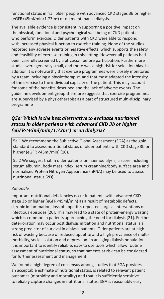functional status in frail older people with advanced CKD stages 3B or higher (eGFR<45ml/min/1.73m²) or on maintenance dialysis.

The available evidence is consistent in supporting a positive impact on the physical, functional and psychological well being of CKD patients who perform exercise. Older patients with CKD were able to respond with increased physical function to exercise training. None of the studies reported any adverse events or negative effects, which supports the safety and feasibility of exercise training in this setting. However all patients had been carefully screened by a physician before participation. Furthermore studies were generally small, and there was a high risk for selection bias. In addition it is noteworthy that exercise programmes were closely monitored by a team including a physiotherapist, and that most adapted the intensity of the exercise to the individual capacity of the patient. This may account for some of the benefits described and the lack of adverse events. The guideline development group therefore suggests that exercise programmes are supervised by a physiotherapist as a part of structured multi-disciplinary programme

## *Q5a: Which is the best alternative to evaluate nutritional status in older patients with advanced CKD 3b or higher (eGFR<45ml/min/1.73m²) or on dialysis?*

5a.1 We recommend the Subjective Global Assessment (SGA) as the gold standard to assess nutritional status of older patients with CKD stage 3b or higher (eGFR <45ml/min) (**1C**).

5a.2 We suggest that in older patients on haemodialysis, a score including serum albumin, body mass index, serum creatinine/body surface area and normalised Protein Nitrogen Appearance (nPNA) may be used to assess nutritional status (**2D**).

#### *Rationale*

Important nutritional deficiencies occur in patients with advanced CKD stage 3b or higher (eGFR<45ml/min) as a result of metabolic defects, chronic inflammation, loss of appetite, repeated surgical interventions or infectious episodes [20]. This may lead to a state of protein-energy wasting which is common in patients approaching the need for dialysis [21]. Further deterioration may occur post dialysis initiation and nutritional status is a strong predictor of survival in dialysis patients. Older patients are at high risk of wasting because of reduced appetite and a high prevalence of multimorbidity, social isolation and depression. In an aging dialysis population it is important to identify reliable, easy to use tools which allow routine assessment of nutritional status, so that patients at risk can be considered for further assessment and management.

We found a high degree of consensus among studies that SGA provides an acceptable estimate of nutritional status, is related to relevant patient outcomes (morbidity and mortality) and that it is sufficiently sensitive to reliably capture changes in nutritional status. SGA is reasonably easy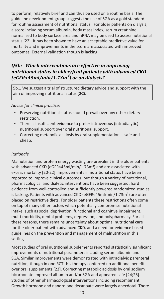to perform, relatively brief and can thus be used on a routine basis. The guideline development group suggests the use of SGA as a gold standard for routine assessment of nutritional status. For older patients on dialysis, a score including serum albumin, body mass index, serum creatinine normalised to body surface area and nPNA may be used to assess nutritional status [22]. It has been shown to have an acceptable predictive value for mortality and improvements in the score are associated with improved outcomes. External validation though is lacking.

## *Q5b: Which interventions are effective in improving nutritional status in older/frail patients with advanced CKD (eGFR<45ml/min/1.73m²) or on dialysis?*

5b.1 We suggest a trial of structured dietary advice and support with the aim of improving nutritional status (**2C**).

*Advice for clinical practice:*

- Preserving nutritional status should prevail over any other dietary restriction.
- There is insufficient evidence to prefer intravenous (intradialytic) nutritional support over oral nutritional support.
- Correcting metabolic acidosis by oral supplementation is safe and cheap.

#### *Rationale*

Malnutrition and protein energy wasting are prevalent in the older patients with advanced CKD (eGFR<45ml/min/1.73m²) and are associated with excess mortality [20-22]. Improvements in nutritional status have been reported to improve clinical outcomes, but though a variety of nutritional, pharmacological and dialytic interventions have been suggested, hard evidence from well-controlled and sufficiently powered randomized studies is lacking. Patients with advanced CKD (eGFR<45ml/min/1.73m²) are often placed on restrictive diets. For older patients these restrictions often come on top of many other factors which potentially compromise nutritional intake, such as social deprivation, functional and cognitive impairment, multi-morbidity, dental problems, depression, and polypharmacy. For all these reasons, there remains uncertainty about optimal nutritional care for the older patient with advanced CKD, and a need for evidence based guidelines on the prevention and management of malnutrition in this setting.

Most studies of oral nutritional supplements reported statistically significant improvements of nutritional parameters including serum albumin and SGA. Similar improvements were demonstrated with intradialyic parenteral nutrition, though in one RCT this therapy conferred no additional benefit over oral supplements [23]. Correcting metabolic acidosis by oral sodium bicarbonate improved albumin and/or SGA and appeared safe [24;25]. Studies of other pharmacological interventions including recombinant Growth hormone and nandrolone decanoate were largely anecdotal. There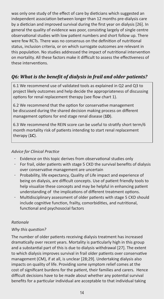was only one study of the effect of care by dieticians which suggested an independent association between longer than 12 months pre-dialysis care by a dietician and improved survival during the first year on dialysis [26]. In general the quality of evidence was poor, consisting largely of single centre observational studies with low patient numbers and short follow up. There were few RCTs. There was no consensus on the definition of nutritional status, inclusion criteria, or on which surrogate outcomes are relevant in this population. No studies addressed the impact of nutritional intervention on mortality. All these factors make it difficult to assess the effectiveness of these interventions.

# *Q6: What is the benefit of dialysis in frail and older patients?*

6.1 We recommend use of validated tools as explained in Q2 and Q3 to project likely outcomes and help decide the appropriateness of discussing options for renal replacement therapy (see flow chart 1).

6.2 We recommend that the option for conservative management be discussed during the shared decision making process on different management options for end stage renal disease (**1D**).

6.3 We recommend the REIN score can be useful to stratify short term/6 month mortality risk of patients intending to start renal replacement therapy (**1C**).

#### *Advice for Clinical Practice*

- Evidence on this topic derives from observational studies only
- For frail, older patients with stage 5 CKD the survival benefits of dialysis over conservative management are uncertain
- Probability, life expectancy, Quality of Life impact and experience of being on dialysis, are difficult concepts. Use of patient friendly tools to help visualize these concepts and may be helpful in enhancing patient understanding of the implications of different treatment options.
- Multidisciplinary assessment of older patients with stage 5 CKD should include cognitive function, frailty, comorbidities, and nutritional, functional and psychosocial factors

#### *Rationale*

#### *Why this question?*

The number of older patients receiving dialysis treatment has increased dramatically over recent years. Mortality is particularly high in this group and a substantial part of this is due to dialysis withdrawal [27]. The extent to which dialysis improves survival in frail older patients over conservative management (CM), if at all, is unclear [28;29]. Undertaking dialysis also impacts on quality of life. Providing some symptom relief comes at the cost of significant burdens for the patient, their families and carers. Hence difficult decisions have to be made about whether any potential survival benefits for a particular individual are acceptable to that individual taking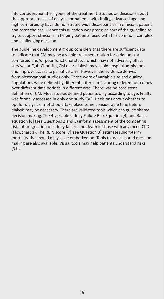into consideration the rigours of the treatment. Studies on decisions about the appropriateness of dialysis for patients with frailty, advanced age and high co-morbidity have demonstrated wide discrepancies in clinician, patient and carer choices. Hence this question was posed as part of the guideline to try to support clinicians in helping patients faced with this common, complex and challenging decision.

The guideline development group considers that there are sufficient data to indicate that CM may be a viable treatment option for older and/or co-morbid and/or poor functional status which may not adversely affect survival or QoL. Choosing CM over dialysis may avoid hospital admissions and improve access to palliative care. However the evidence derives from observational studies only. These were of variable size and quality. Populations were defined by different criteria, measuring different outcomes over different time periods in different eras. There was no consistent definition of CM. Most studies defined patients only according to age. Frailty was formally assessed in only one study [30]. Decisions about whether to opt for dialysis or not should take place some considerable time before dialysis may be necessary. There are validated tools which can guide shared decision making. The 4-variable Kidney Failure Risk Equation [4] and Bansal equation [6] (see Questions 2 and 3) inform assessment of the competing risks of progression of kidney failure and death in those with advanced CKD (Flowchart 1). The REIN score [7](see Question 3) estimates short-term mortality risk should dialysis be embarked on. Tools to assist shared decision making are also available. Visual tools may help patients understand risks [31].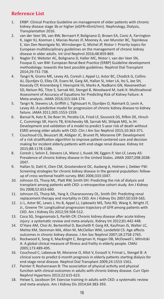## **Reference List**

- 1. ERBP: Clinical Practice Guideline on management of older patients with chronic kidney disease stage 3b or higher (eGFR<45ml/min). Nephrology, Dialysis, Transplantation 2016.
- 2. van der Veer SN, van BW, Bernaert P, Bolignano D, Brown EA, Covic A, Farrington K, Jager KJ, Kooman J, Macias-Nunez JF, Mooney A, van Munster BC, Topinkova E, Van Den Noortgate NJ, Wirnsberger G, Michel JP, Nistor I: Priority topics for European multidisciplinary guidelines on the management of chronic kidney disease in older adults. Int Urol Nephrol 2016;48:859-869.
- 3. Nagler EV, Webster AC, Bolignano D, Haller MC, Nistor I, van der Veer SN, Fouque D, van BW: European Renal Best Practice (ERBP) Guideline development methodology: towards the best possible guidelines. Nephrol Dial Transplant 2014;29:731-738.
- 4. Tangri N, Grams ME, Levey AS, Coresh J, Appel LJ, Astor BC, Chodick G, Collins AJ, Djurdjev O, Elley CR, Evans M, Garg AX, Hallan SI, Inker LA, Ito S, Jee SH, Kovesdy CP, Kronenberg F, Heerspink HJ, Marks A, Nadkarni GN, Navaneethan SD, Nelson RG, Titze S, Sarnak MJ, Stengel B, Woodward M, Iseki K: Multinational Assessment of Accuracy of Equations for Predicting Risk of Kidney Failure: A Meta-analysis. JAMA 2016;315:164-174.
- 5. Tangri N, Stevens LA, Griffith J, Tighiouart H, Djurdjev O, Naimark D, Levin A, Levey AS: A predictive model for progression of chronic kidney disease to kidney failure. JAMA 2011;305:1553-1559.
- 6. Bansal N, Katz R, De Boer IH, Peralta CA, Fried LF, Siscovick DS, Rifkin DE, Hirsch C, Cummings SR, Harris TB, Kritchevsky SB, Sarnak MJ, Shlipak MG, Ix JH: Development and validation of a model to predict 5-year risk of death without ESRD among older adults with CKD. Clin J Am Soc Nephrol 2015;10:363-371.
- 7. Couchoud CG, Beuscart JB, Aldigier JC, Brunet PJ, Moranne OP: Development of a risk stratification algorithm to improve patient-centered care and decision making for incident elderly patients with end-stage renal disease. Kidney Int 2015;88:1178-1186.
- 8. Coresh J, Selvin E, Stevens LA, Manzi J, Kusek JW, Eggers P, Van LF, Levey AS: Prevalence of chronic kidney disease in the United States. JAMA 2007;298:2038- 2047.
- 9. Hallan SI, Dahl K, Oien CM, Grootendorst DC, Aasberg A, Holmen J, Dekker FW: Screening strategies for chronic kidney disease in the general population: followup of cross sectional health survey. BMJ 2006;333:1047.
- 10. Johnson ES, Thorp ML, Platt RW, Smith DH: Predicting the risk of dialysis and transplant among patients with CKD: a retrospective cohort study. Am J Kidney Dis 2008;52:653-660.
- 11. Johnson ES, Thorp ML, Yang X, Charansonney OL, Smith DH: Predicting renal replacement therapy and mortality in CKD. Am J Kidney Dis 2007;50:559-565.
- 12. Li L, Astor BC, Lewis J, Hu B, Appel LJ, Lipkowitz MS, Toto RD, Wang X, Wright JT, Jr., Greene TH: Longitudinal progression trajectory of GFR among patients with CKD. Am J Kidney Dis 2012;59:504-512.
- 13. Coca SG, Singanamala S, Parikh CR: Chronic kidney disease after acute kidney injury: a systematic review and meta-analysis. Kidney Int 2012;81:442-448.
- 14. O'Hare AM, Choi AI, Bertenthal D, Bacchetti P, Garg AX, Kaufman JS, Walter LC, Mehta KM, Steinman MA, Allon M, McClellan WM, Landefeld CS: Age affects outcomes in chronic kidney disease. J Am Soc Nephrol 2007;18:2758-2765.
- 15. Rockwood K, Song X, MacKnight C, Bergman H, Hogan DB, McDowell I, Mitnitski A: A global clinical measure of fitness and frailty in elderly people. CMAJ 2005;173:489-495.
- 16. Couchoud C, Labeeuw M, Moranne O, Allot V, Esnault V, Frimat L, Stengel B: A clinical score to predict 6-month prognosis in elderly patients starting dialysis for end-stage renal disease. Nephrol Dial Transplant 2009;24:1553-1561.
- 17. Painter P, Roshanravan B: The association of physical activity and physical function with clinical outcomes in adults with chronic kidney disease. Curr Opin Nephrol Hypertens 2013;22:615-623.
- 18. Heiwe S, Jacobson SH: Exercise training in adults with CKD: a systematic review and meta-analysis. Am J Kidney Dis 2014;64:383-393.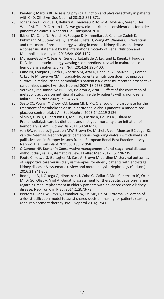- 19. Painter P, Marcus RL: Assessing physical function and physical activity in patients with CKD. Clin J Am Soc Nephrol 2013;8:861-872.
- 20. Johansson L, Fouque D, Bellizzi V, Chauveau P, Kolko A, Molina P, Sezer S, Ter Wee PM, Teta D, Carrero JJ: As we grow old: nutritional considerations for older patients on dialysis. Nephrol Dial Transplant 2016.
- 21. Ikizler TA, Cano NJ, Franch H, Fouque D, Himmelfarb J, Kalantar-Zadeh K, Kuhlmann MK, Stenvinkel P, TerWee P, Teta D, Wang AY, Wanner C: Prevention and treatment of protein energy wasting in chronic kidney disease patients: a consensus statement by the International Society of Renal Nutrition and Metabolism. Kidney Int 2013;84:1096-1107.
- 22. Moreau-Gaudry X, Jean G, Genet L, Lataillade D, Legrand E, Kuentz F, Fouque D: A simple protein-energy wasting score predicts survival in maintenance hemodialysis patients. J Ren Nutr 2014;24:395-400.
- 23. Cano NJ, Fouque D, Roth H, Aparicio M, Azar R, Canaud B, Chauveau P, Combe C, Laville M, Leverve XM: Intradialytic parenteral nutrition does not improve survival in malnourished hemodialysis patients: a 2-year multicenter, prospective, randomized study. J Am Soc Nephrol 2007;18:2583-2591.
- 24. Verove C, Maisonneuve N, El AA, Boldron A, Azar R: Effect of the correction of metabolic acidosis on nutritional status in elderly patients with chronic renal failure. J Ren Nutr 2002;12:224-228.
- 25. Szeto CC, Wong TY, Chow KM, Leung CB, Li PK: Oral sodium bicarbonate for the treatment of metabolic acidosis in peritoneal dialysis patients: a randomized placebo-control trial. J Am Soc Nephrol 2003;14:2119-2126.
- 26. Slinin Y, Guo H, Gilbertson DT, Mau LW, Ensrud K, Collins AJ, Ishani A: Prehemodialysis care by dietitians and first-year mortality after initiation of hemodialysis. Am J Kidney Dis 2011;58:583-590.
- 27. van BW, van de Luijtgaarden MW, Brown EA, Michel JP, van Munster BC, Jager KJ, van der Veer SN: Nephrologists' perceptions regarding dialysis withdrawal and palliative care in Europe: lessons from a European Renal Best Practice survey. Nephrol Dial Transplant 2015;30:1951-1958.
- 28. O'Connor NR, Kumar P: Conservative management of end-stage renal disease without dialysis: a systematic review. J Palliat Med 2012;15:228-235.
- 29. Foote C, Kotwal S, Gallagher M, Cass A, Brown M, Jardine M: Survival outcomes of supportive care versus dialysis therapies for elderly patients with end-stage kidney disease: A systematic review and meta-analysis. Nephrology (Carlton ) 2016;21:241-253.
- 30. Rodriguez V, I, Ortega O, Hinostroza J, Cobo G, Gallar P, Mon C, Herrero JC, Ortiz M, Di GC, Oliet A, Vigil A: Geriatric assessment for therapeutic decision-making regarding renal replacement in elderly patients with advanced chronic kidney disease. Nephron Clin Pract 2014;128:73-78.
- 31. Peeters P, van BW, Veys N, Lemahieu W, De MB, De MJ: External Validation of a risk stratification model to assist shared decision making for patients starting renal replacement therapy. BMC Nephrol 2016;17:41.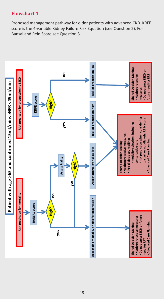# **Flowchart 1**

Proposed management pathway for older patients with advanced CKD. KRFE score is the 4-variable Kidney Failure Risk Equation (see Question 2). For Bansal and Rein Score see Question 3.

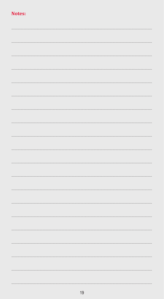# Notes: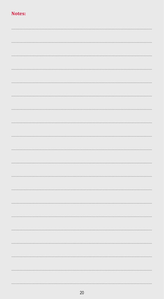# Notes: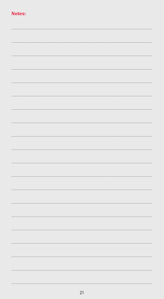# Notes: